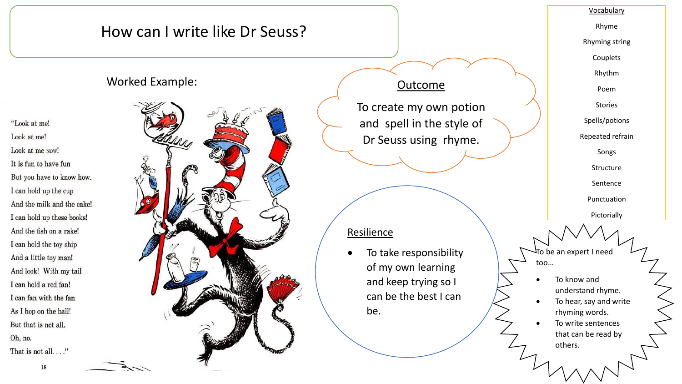## How can I write like Dr Seuss?

## Worked Example:

"Look at me! Look at me! Look at me NOW! It is fun to have fun But you have to know how. I can hold up the cup And the milk and the cake! I can hold up these books! And the fish on a rake! I can hold the toy ship And a little toy man! And look! With my tail I can hold a red fan! I can fan with the fan As I hop on the ball! But that is not all. Oh, no. That is not all...."



## **Outcome**

To create my own potion and spell in the style of Dr Seuss using rhyme.

### **Resilience**

 To take responsibility of my own learning and keep trying so I can be the best I can be.

#### Vocabulary

Rhyme

Rhyming string

Couplets

Rhythm

Poem

Stories

Spells/potions

Repeated refrain

Songs

Structure

Sentence

Punctuation

Pictorially

To be an expert I need too…

- To know and understand rhyme.
- To hear, say and write rhyming words.
- To write sentences that can be read by others.

18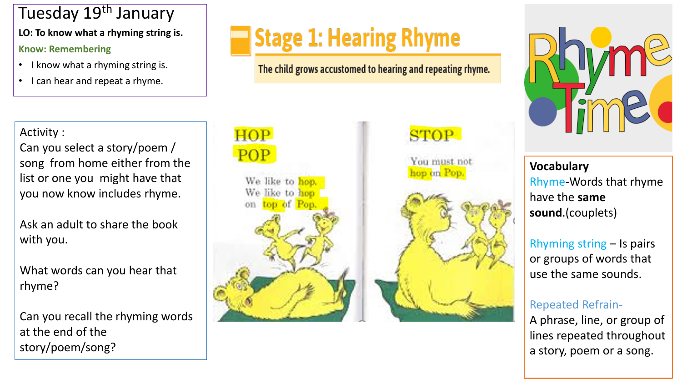# Tuesday 19<sup>th</sup> January

**LO: To know what a rhyming string is .**

## **Know: Remembering**

- I know what a rhyming string is.
- I can hear and repeat a rhyme.

**Stage 1: Hearing Rhyme** 

The child grows accustomed to hearing and repeating rhyme.

Activity : Can you select a story/poem / song from home either from the list or one you might have that you now know includes rhyme.

Ask an adult to share the book with you.

What words can you hear that rhyme?

Can you recall the rhyming words at the end of the story/poem/song?





You must not hop on Pop.





**Vocabulary** Rhyme -Words that rhyme have the **same sound**.(couplets)

Rhyming string – Is pairs or groups of words that use the same sounds .

## Repeated Refrain -

A phrase, line, or group of lines repeated throughout a story, poem or a song.